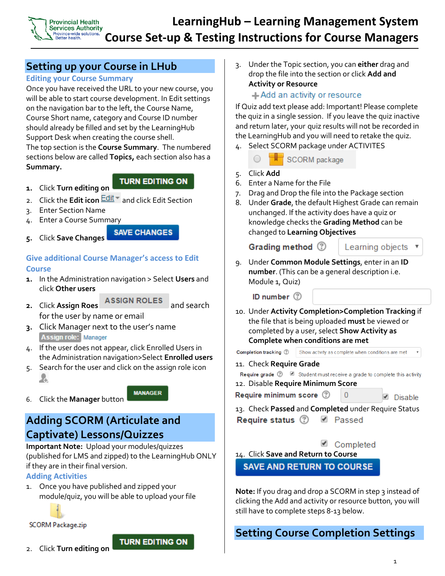

# **Setting up your Course in LHub**

### **Editing your Course Summary**

Once you have received the URL to your new course, you will be able to start course development. In Edit settings on the navigation bar to the left, the Course Name, Course Short name, category and Course ID number should already be filled and set by the LearningHub Support Desk when creating the course shell. The top section is the **Course Summary**. The numbered sections below are called **Topics,** each section also has a **Summary.**

**1.** Click **Turn editing on** 

### **TURN EDITING ON**

- 2. Click the **Edit icon Edit** and click Edit Section
- 3. Enter Section Name
- 4. Enter a Course Summary

#### **SAVE CHANGES 5.** Click **Save Changes**

## **Give additional Course Manager's access to Edit Course**

- **1.** In the Administration navigation > Select **Users** and click **Other users**
- **2.** Click Assign Roes **ASSIGN ROLES** and search

**MANAGER** 

for the user by name or email

- **3.** Click Manager next to the user's name Assign role: Manager
- 4. If the user does not appear, click Enrolled Users in the Administration navigation>Select **Enrolled users**
- 5. Search for the user and click on the assign role icon A
- 6. Click the **Manager** button

# **Adding SCORM (Articulate and Captivate) Lessons/Quizzes**

**Important Note:** Upload your modules/quizzes (published for LMS and zipped) to the LearningHub ONLY if they are in their final version. **Adding Activities**

1. Once you have published and zipped your module/quiz, you will be able to upload your file



**SCORM Package.zip** 

**TURN EDITING ON** 

3. Under the Topic section, you can **either** drag and drop the file into the section or click **Add and Activity or Resource** 

### +Add an activity or resource

If Quiz add text please add: Important! Please complete the quiz in a single session. If you leave the quiz inactive and return later, your quiz results will not be recorded in the LearningHub and you will need to retake the quiz.

4. Select SCORM package under ACTIVITES

SCORM package

- 5. Click **Add**
- 6. Enter a Name for the File
- 7. Drag and Drop the file into the Package section
- 8. Under **Grade**, the default Highest Grade can remain unchanged. If the activity does have a quiz or knowledge checks the **Grading Method** can be changed to **Learning Objectives**

Grading method (?)

Learning objects

9. Under **Common Module Settings**, enter in an **ID number**. (This can be a general description i.e. Module 1, Quiz)

ID number 2

10. Under **Activity Completion>Completion Tracking** if the file that is being uploaded **must** be viewed or completed by a user, select **Show Activity as Complete when conditions are met**

Completion tracking 2 Show activity as complete when conditions are met

11. Check **Require Grade**

Require grade ⑦ ■ Student must receive a grade to complete this activity

12. Disable **Require Minimum Score**

Require minimum score 2

 $\blacksquare$  Disable

 $\boldsymbol{\mathrm{v}}$ 

13. Check **Passed** and **Completed** under Require Status Require status (?) *■* Passed

Completed

n

14. Click **Save and Return to Course SAVE AND RETURN TO COURSE** 

**Note:** If you drag and drop a SCORM in step 3 instead of clicking the Add and activity or resource button, you will still have to complete steps 8-13 below.

# **Setting Course Completion Settings**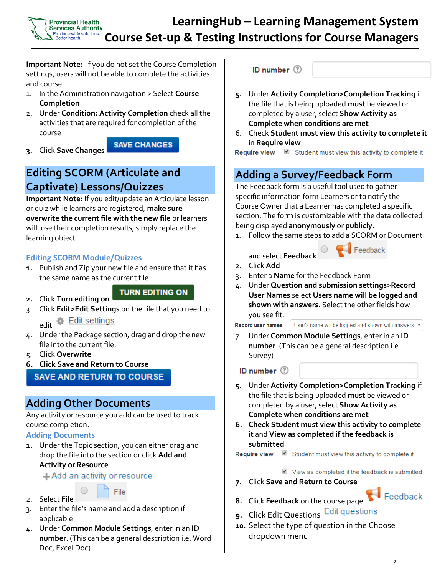**Important Note:** If you do not set the Course Completion settings, users will not be able to complete the activities and course.

- 1. In the Administration navigation > Select **Course Completion**
- 2. Under **Condition: Activity Completion** check all the activities that are required for completion of the course

**SAVE CHANGES** 

**3.** Click **Save Changes**

Province-wide solutions **Better health** 

# **Editing SCORM (Articulate and Captivate) Lessons/Quizzes**

**Important Note:** If you edit/update an Articulate lesson or quiz while learners are registered, **make sure overwrite the current file with the new file** or learners will lose their completion results, simply replace the learning object.

## **Editing SCORM Module/Quizzes**

**1.** Publish and Zip your new file and ensure that it has the same name as the current file

### **TURN EDITING ON**

- **2.** Click **Turn editing on**
- 3. Click **Edit>Edit Settings** on the file that you need to 泰 Edit settings edit

- 4. Under the Package section, drag and drop the new file into the current file.
- 5. Click **Overwrite**
- **6. Click Save and Return to Course**

## **SAVE AND RETURN TO COURSE**

# **Adding Other Documents**

Any activity or resource you add can be used to track course completion.

## **Adding Documents**

**1.** Under the Topic section, you can either drag and drop the file into the section or click **Add and Activity or Resource** 

+Add an activity or resource





- 3. Enter the file's name and add a description if applicable
- 4. Under **Common Module Settings**, enter in an **ID number**. (This can be a general description i.e. Word Doc, Excel Doc)

ID number (?

- **5.** Under **Activity Completion>Completion Tracking** if the file that is being uploaded **must** be viewed or completed by a user, select **Show Activity as Complete when conditions are met**
- 6. Check **Student must view this activity to complete it**  in **Require view**

Require view 8 Student must view this activity to complete it

# **Adding a Survey/Feedback Form**

The Feedback form is a useful tool used to gather specific information form Learners or to notify the Course Owner that a Learner has completed a specific section. The form is customizable with the data collected being displayed **anonymously** or **publicly**.

1. Follow the same steps to add a SCORM or Document



- 2. Click **Add**
- 3. Enter a **Name** for the Feedback Form
- 4. Under **Question and submission settings**>**Record User Names** select **Users name will be logged and shown with answers.** Select the other fields how you see fit.

Record user names

User's name will be logged and shown with answers v

7. Under **Common Module Settings**, enter in an **ID number**. (This can be a general description i.e. Survey)

ID number (2)

- **5.** Under **Activity Completion>Completion Tracking** if the file that is being uploaded **must** be viewed or completed by a user, select **Show Activity as Complete when conditions are met**
- **6. Check Student must view this activity to complete it** and **View as completed if the feedback is submitted**

Require view  $\blacksquare$  Student must view this activity to complete it

View as completed if the feedback is submitted

**7.** Click **Save and Return to Course**



- **9.** Click Edit Questions
- **10.** Select the type of question in the Choose dropdown menu

Feedback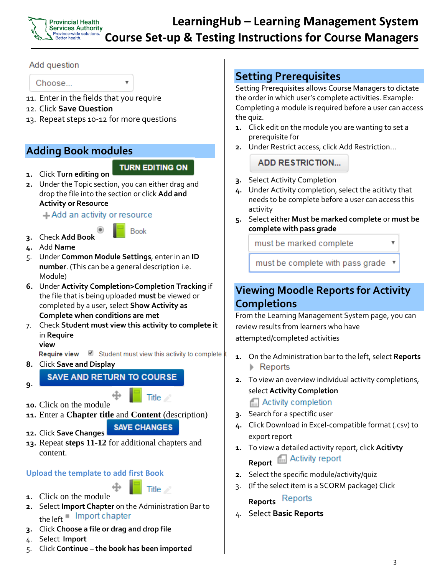

### Add question

Choose...

- 11. Enter in the fields that you require
- 12. Click **Save Question**
- 13. Repeat steps 10-12 for more questions

# **Adding Book modules**

# **TURN EDITING ON**

**1.** Click **Turn editing on 2.** Under the Topic section, you can either drag and drop the file into the section or click **Add and Activity or Resource** 

+Add an activity or resource

**Book** 

- **3.** Check **Add Book**
- **4.** Add **Name**
- 5. Under **Common Module Settings**, enter in an **ID number**. (This can be a general description i.e. Module)
- **6.** Under **Activity Completion>Completion Tracking** if the file that is being uploaded **must** be viewed or completed by a user, select **Show Activity as Complete when conditions are met**
- 7. Check **Student must view this activity to complete it**  in **Require**

**view**

Require view  $\blacksquare$  Student must view this activity to complete

**8.** Click **Save and Display**

**SAVE AND RETURN TO COURSE** 

**9.**

- **10.** Click on the module
- **11.** Enter a **Chapter title** and **Content** (description)

**SAVE CHANGES** 

Title

Title

- **12.** Click **Save Changes**
- **13.** Repeat **steps 11-12** for additional chapters and content.

## **Upload the template to add first Book**

- **1.** Click on the module
- **2.** Select **Import Chapter** on the Administration Bar to the left <sup>1</sup> Import chapter
- **3.** Click **Choose a file or drag and drop file**
- 4. Select **Import**
- 5. Click **Continue – the book has been imported**

# **Setting Prerequisites**

Setting Prerequisites allows Course Managers to dictate the order in which user's complete activities. Example: Completing a module is required before a user can access the quiz.

- **1.** Click edit on the module you are wanting to set a prerequisite for
- **2.** Under Restrict access, click Add Restriction…

**ADD RESTRICTION...** 

- **3.** Select Activity Completion
- **4.** Under Activity completion, select the acitivty that needs to be complete before a user can access this activity
- **5.** Select either **Must be marked complete** or **must be complete with pass grade**

must be marked complete

must be complete with pass grade

# **Viewing Moodle Reports for Activity Completions**

From the Learning Management System page, you can review results from learners who have attempted/completed activities

- **1.** On the Administration bar to the left, select **Reports**  $\triangleright$  Reports
- **2.** To view an overview individual activity completions, select **Activity Completion**

**Activity completion** 

- **3.** Search for a spectific user
- **4.** Click Download in Excel-compatible format (.csv) to export report
- **1.** To view a detailed activity report, click **Acitivty**  Activity report **Report**
- **2.** Select the specific module/activity/quiz
- 3. (If the select item is a SCORM package) Click

**Reports**

4. Select **Basic Reports**

 $\overline{\mathbf{v}}$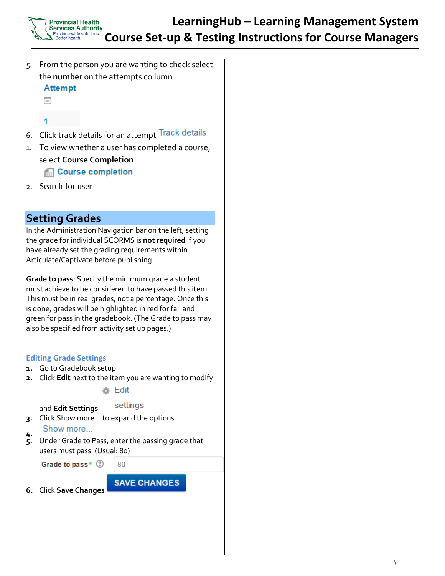- 5. From the person you are wanting to check select the **number** on the attempts collumn **Attempt** 
	- $\equiv$
	- 1
- 6. Click track details for an attempt Track details
- 1. To view whether a user has completed a course, select **Course Completion**  Course completion
- 2. Search for user

# **Setting Grades**

In the Administration Navigation bar on the left, setting the grade for individual SCORMS is **not required** if you have already set the grading requirements within Articulate/Captivate before publishing.

**Grade to pass**: Specify the minimum grade a student must achieve to be considered to have passed this item. This must be in real grades, not a percentage. Once this is done, grades will be highlighted in red for fail and green for pass in the gradebook. (The Grade to pass may also be specified from activity set up pages.)

### **Editing Grade Settings**

- **1.** Go to Gradebook setup
- **2.** Click **Edit** next to the item you are wanting to modify

● Edit

#### settings and **Edit Settings**

**3.** Click Show more… to expand the options

#### Show more... **4.**

**5.** Under Grade to Pass, enter the passing grade that users must pass. (Usual: 80)

Grade to pass\* 2

80

**SAVE CHANGES** 

**6.** Click **Save Changes** 

4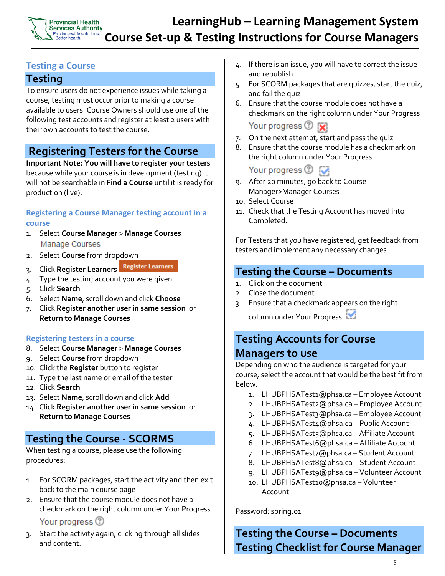### **Provincial Health Services Authority** Province-wide solutions<br>Better health.

# **LearningHub – Learning Management System Course Set-up & Testing Instructions for Course Managers**

## **Testing a Course**

# **Testing**

To ensure users do not experience issues while taking a course, testing must occur prior to making a course available to users. Course Owners should use one of the following test accounts and register at least 2 users with their own accounts to test the course.

# **Registering Testers for the Course**

**Important Note: You will have to register your testers** because while your course is in development (testing) it will not be searchable in **Find a Course** until it is ready for production (live).

## **Registering a Course Manager testing account in a course**

- 1. Select **Course Manager** > **Manage Courses** Manage Courses
- 2. Select **Course** from dropdown
- **Register Learners** 3. Click **Register Learners**
- 4. Type the testing account you were given
- 5. Click **Search**
- 6. Select **Name**, scroll down and click **Choose**
- 7. Click **Register another user in same session** or **Return to Manage Courses**

## **Registering testers in a course**

- 8. Select **Course Manager** > **Manage Courses**
- 9. Select **Course** from dropdown
- 10. Click the **Register** button to register
- 11. Type the last name or email of the tester
- 12. Click **Search**
- 13. Select **Name**, scroll down and click **Add**
- 14. Click **Register another user in same session** or **Return to Manage Courses**

# **Testing the Course - SCORMS**

When testing a course, please use the following procedures:

- 1. For SCORM packages, start the activity and then exit back to the main course page
- 2. Ensure that the course module does not have a checkmark on the right column under Your Progress

Your progress (?)

3. Start the activity again, clicking through all slides and content.

- 4. If there is an issue, you will have to correct the issue and republish
- 5. For SCORM packages that are quizzes, start the quiz, and fail the quiz
- 6. Ensure that the course module does not have a checkmark on the right column under Your Progress

## Your progress <sup>7</sup>

- 7. On the next attempt, start and pass the quiz
- 8. Ensure that the course module has a checkmark on the right column under Your Progress

Your progress  $\circled{?}$ 

- 9. After 20 minutes, go back to Course Manager>Manager Courses
- 10. Select Course
- 11. Check that the Testing Account has moved into Completed.

For Testers that you have registered, get feedback from testers and implement any necessary changes.

# **Testing the Course – Documents**

- 1. Click on the document
- 2. Close the document
- 3. Ensure that a checkmark appears on the right column under Your Progress

# **Testing Accounts for Course Managers to use**

Depending on who the audience is targeted for your course, select the account that would be the best fit from below.

- 1. LHUBPHSATest1@phsa.ca Employee Account
- 2. LHUBPHSATest2@phsa.ca Employee Account
- 3. LHUBPHSATest3@phsa.ca Employee Account
- 4. LHUBPHSATest4@phsa.ca Public Account
- 5. LHUBPHSATest5@phsa.ca Affiliate Account
- 6. LHUBPHSATest6@phsa.ca Affiliate Account
- 7. LHUBPHSATest7@phsa.ca Student Account
- 8. LHUBPHSATest8@phsa.ca Student Account
- 9. LHUBPHSATest9@phsa.ca Volunteer Account
- 10. LHUBPHSATest10@phsa.ca Volunteer Account

Password: spring.01

# **Testing the Course – Documents Testing Checklist for Course Manager**